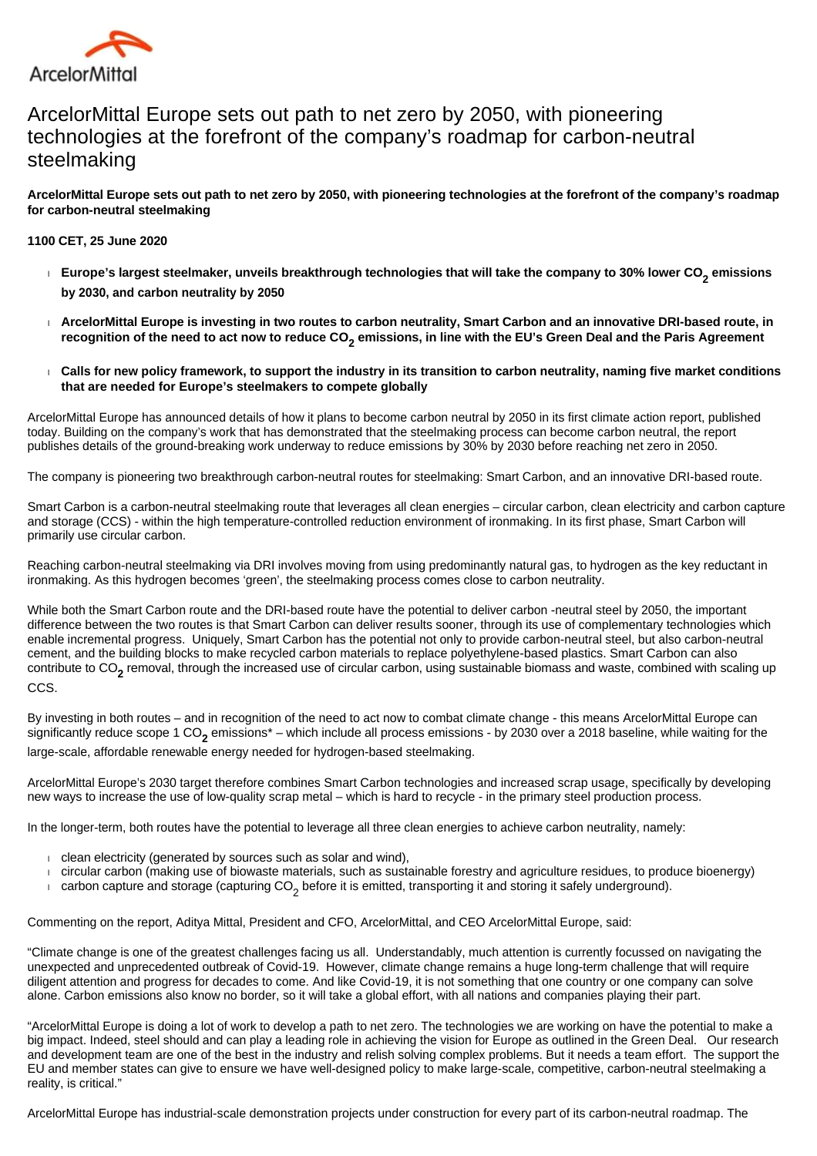

# ArcelorMittal Europe sets out path to net zero by 2050, with pioneering technologies at the forefront of the company's roadmap for carbon-neutral steelmaking

**ArcelorMittal Europe sets out path to net zero by 2050, with pioneering technologies at the forefront of the company's roadmap for carbon-neutral steelmaking**

**1100 CET, 25 June 2020**

- **Europe's largest steelmaker, unveils breakthrough technologies that will take the company to 30% lower CO<sup>2</sup> emissions by 2030, and carbon neutrality by 2050**
- **ArcelorMittal Europe is investing in two routes to carbon neutrality, Smart Carbon and an innovative DRI-based route, in recognition of the need to act now to reduce CO<sup>2</sup> emissions, in line with the EU's Green Deal and the Paris Agreement**
- **Calls for new policy framework, to support the industry in its transition to carbon neutrality, naming five market conditions that are needed for Europe's steelmakers to compete globally**

ArcelorMittal Europe has announced details of how it plans to become carbon neutral by 2050 in its first climate action report, published today. Building on the company's work that has demonstrated that the steelmaking process can become carbon neutral, the report publishes details of the ground-breaking work underway to reduce emissions by 30% by 2030 before reaching net zero in 2050.

The company is pioneering two breakthrough carbon-neutral routes for steelmaking: Smart Carbon, and an innovative DRI-based route.

Smart Carbon is a carbon-neutral steelmaking route that leverages all clean energies – circular carbon, clean electricity and carbon capture and storage (CCS) - within the high temperature-controlled reduction environment of ironmaking. In its first phase, Smart Carbon will primarily use circular carbon.

Reaching carbon-neutral steelmaking via DRI involves moving from using predominantly natural gas, to hydrogen as the key reductant in ironmaking. As this hydrogen becomes 'green', the steelmaking process comes close to carbon neutrality.

While both the Smart Carbon route and the DRI-based route have the potential to deliver carbon -neutral steel by 2050, the important difference between the two routes is that Smart Carbon can deliver results sooner, through its use of complementary technologies which enable incremental progress. Uniquely, Smart Carbon has the potential not only to provide carbon-neutral steel, but also carbon-neutral cement, and the building blocks to make recycled carbon materials to replace polyethylene-based plastics. Smart Carbon can also contribute to CO<sub>2</sub> removal, through the increased use of circular carbon, using sustainable biomass and waste, combined with scaling up CCS.

By investing in both routes – and in recognition of the need to act now to combat climate change - this means ArcelorMittal Europe can significantly reduce scope 1 CO<sub>2</sub> emissions\* – which include all process emissions - by 2030 over a 2018 baseline, while waiting for the large-scale, affordable renewable energy needed for hydrogen-based steelmaking.

ArcelorMittal Europe's 2030 target therefore combines Smart Carbon technologies and increased scrap usage, specifically by developing new ways to increase the use of low-quality scrap metal – which is hard to recycle - in the primary steel production process.

In the longer-term, both routes have the potential to leverage all three clean energies to achieve carbon neutrality, namely:

- clean electricity (generated by sources such as solar and wind),
- circular carbon (making use of biowaste materials, such as sustainable forestry and agriculture residues, to produce bioenergy)
- $\blacksquare$  carbon capture and storage (capturing CO<sub>2</sub> before it is emitted, transporting it and storing it safely underground).

Commenting on the report, Aditya Mittal, President and CFO, ArcelorMittal, and CEO ArcelorMittal Europe, said:

"Climate change is one of the greatest challenges facing us all. Understandably, much attention is currently focussed on navigating the unexpected and unprecedented outbreak of Covid-19. However, climate change remains a huge long-term challenge that will require diligent attention and progress for decades to come. And like Covid-19, it is not something that one country or one company can solve alone. Carbon emissions also know no border, so it will take a global effort, with all nations and companies playing their part.

"ArcelorMittal Europe is doing a lot of work to develop a path to net zero. The technologies we are working on have the potential to make a big impact. Indeed, steel should and can play a leading role in achieving the vision for Europe as outlined in the Green Deal. Our research and development team are one of the best in the industry and relish solving complex problems. But it needs a team effort. The support the EU and member states can give to ensure we have well-designed policy to make large-scale, competitive, carbon-neutral steelmaking a reality, is critical."

ArcelorMittal Europe has industrial-scale demonstration projects under construction for every part of its carbon-neutral roadmap. The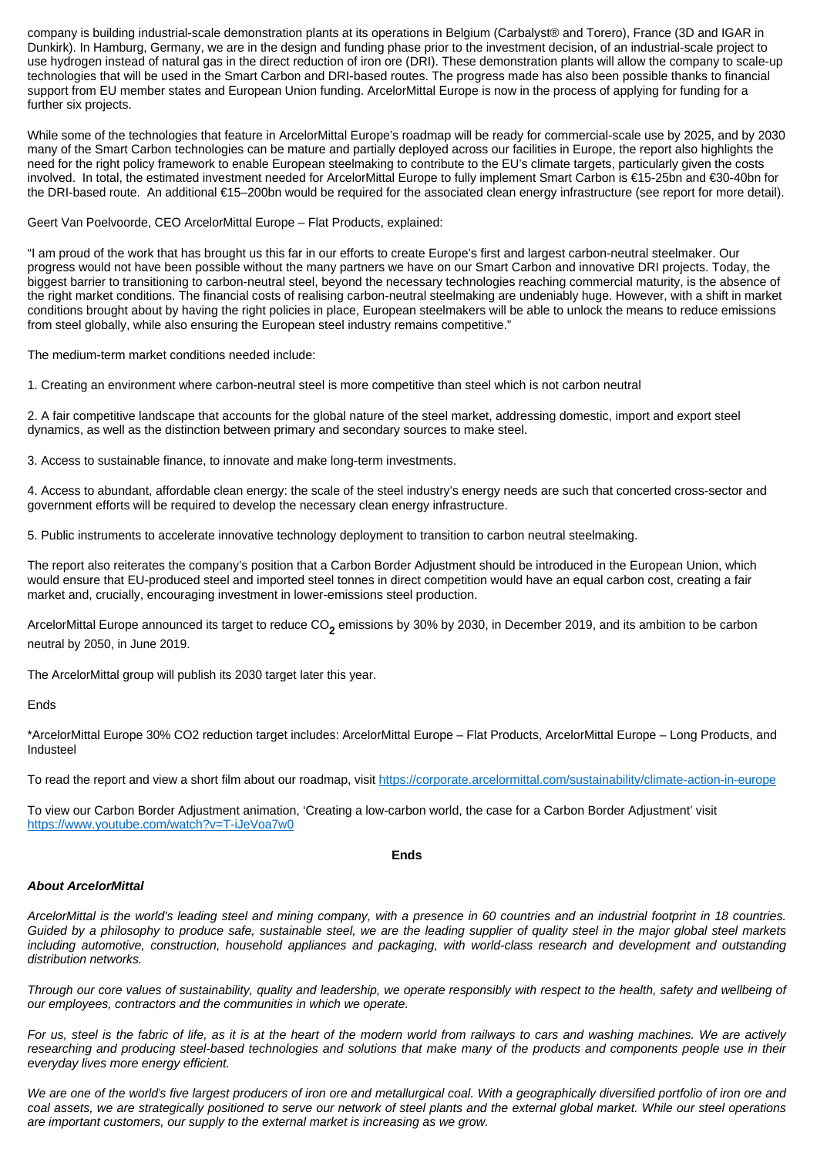company is building industrial-scale demonstration plants at its operations in Belgium (Carbalyst® and Torero), France (3D and IGAR in Dunkirk). In Hamburg, Germany, we are in the design and funding phase prior to the investment decision, of an industrial-scale project to use hydrogen instead of natural gas in the direct reduction of iron ore (DRI). These demonstration plants will allow the company to scale-up technologies that will be used in the Smart Carbon and DRI-based routes. The progress made has also been possible thanks to financial support from EU member states and European Union funding. ArcelorMittal Europe is now in the process of applying for funding for a further six projects.

While some of the technologies that feature in ArcelorMittal Europe's roadmap will be ready for commercial-scale use by 2025, and by 2030 many of the Smart Carbon technologies can be mature and partially deployed across our facilities in Europe, the report also highlights the need for the right policy framework to enable European steelmaking to contribute to the EU's climate targets, particularly given the costs involved. In total, the estimated investment needed for ArcelorMittal Europe to fully implement Smart Carbon is €15-25bn and €30-40bn for the DRI-based route. An additional €15–200bn would be required for the associated clean energy infrastructure (see report for more detail).

## Geert Van Poelvoorde, CEO ArcelorMittal Europe – Flat Products, explained:

"I am proud of the work that has brought us this far in our efforts to create Europe's first and largest carbon-neutral steelmaker. Our progress would not have been possible without the many partners we have on our Smart Carbon and innovative DRI projects. Today, the biggest barrier to transitioning to carbon-neutral steel, beyond the necessary technologies reaching commercial maturity, is the absence of the right market conditions. The financial costs of realising carbon-neutral steelmaking are undeniably huge. However, with a shift in market conditions brought about by having the right policies in place, European steelmakers will be able to unlock the means to reduce emissions from steel globally, while also ensuring the European steel industry remains competitive."

The medium-term market conditions needed include:

1. Creating an environment where carbon-neutral steel is more competitive than steel which is not carbon neutral

2. A fair competitive landscape that accounts for the global nature of the steel market, addressing domestic, import and export steel dynamics, as well as the distinction between primary and secondary sources to make steel.

3. Access to sustainable finance, to innovate and make long-term investments.

4. Access to abundant, affordable clean energy: the scale of the steel industry's energy needs are such that concerted cross-sector and government efforts will be required to develop the necessary clean energy infrastructure.

5. Public instruments to accelerate innovative technology deployment to transition to carbon neutral steelmaking.

The report also reiterates the company's position that a Carbon Border Adjustment should be introduced in the European Union, which would ensure that EU-produced steel and imported steel tonnes in direct competition would have an equal carbon cost, creating a fair market and, crucially, encouraging investment in lower-emissions steel production.

ArcelorMittal Europe announced its target to reduce CO<sub>2</sub> emissions by 30% by 2030, in December 2019, and its ambition to be carbon neutral by 2050, in June 2019.

The ArcelorMittal group will publish its 2030 target later this year.

## Ends

\*ArcelorMittal Europe 30% CO2 reduction target includes: ArcelorMittal Europe – Flat Products, ArcelorMittal Europe – Long Products, and Industeel

To read the report and view a short film about our roadmap, visit<https://corporate.arcelormittal.com/sustainability/climate-action-in-europe>

To view our Carbon Border Adjustment animation, 'Creating a low-carbon world, the case for a Carbon Border Adjustment' visit <https://www.youtube.com/watch?v=T-iJeVoa7w0>

**Ends**

## **About ArcelorMittal**

ArcelorMittal is the world's leading steel and mining company, with a presence in 60 countries and an industrial footprint in 18 countries. Guided by a philosophy to produce safe, sustainable steel, we are the leading supplier of quality steel in the major global steel markets including automotive, construction, household appliances and packaging, with world-class research and development and outstanding distribution networks.

Through our core values of sustainability, quality and leadership, we operate responsibly with respect to the health, safety and wellbeing of our employees, contractors and the communities in which we operate.

For us, steel is the fabric of life, as it is at the heart of the modern world from railways to cars and washing machines. We are actively researching and producing steel-based technologies and solutions that make many of the products and components people use in their everyday lives more energy efficient.

We are one of the world's five largest producers of iron ore and metallurgical coal. With a geographically diversified portfolio of iron ore and coal assets, we are strategically positioned to serve our network of steel plants and the external global market. While our steel operations are important customers, our supply to the external market is increasing as we grow.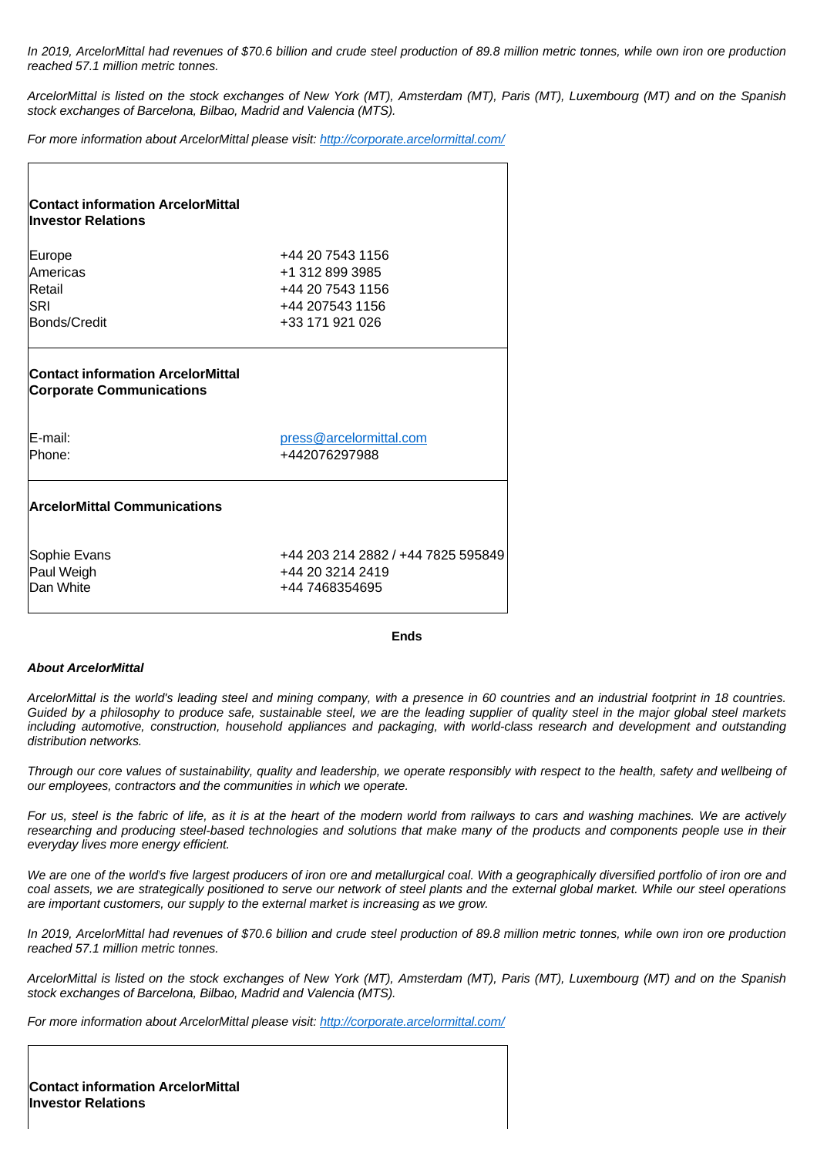In 2019, ArcelorMittal had revenues of \$70.6 billion and crude steel production of 89.8 million metric tonnes, while own iron ore production reached 57.1 million metric tonnes.

ArcelorMittal is listed on the stock exchanges of New York (MT), Amsterdam (MT), Paris (MT), Luxembourg (MT) and on the Spanish stock exchanges of Barcelona, Bilbao, Madrid and Valencia (MTS).

For more information about ArcelorMittal please visit:<http://corporate.arcelormittal.com/>

| <b>Contact information ArcelorMittal</b><br><b>Investor Relations</b>       |                                    |
|-----------------------------------------------------------------------------|------------------------------------|
| Europe                                                                      | +44 20 7543 1156                   |
| Americas                                                                    | +1 312 899 3985                    |
| Retail                                                                      | +44 20 7543 1156                   |
| <b>SRI</b>                                                                  | +44 207543 1156                    |
| Bonds/Credit                                                                | +33 171 921 026                    |
| <b>Contact information ArcelorMittal</b><br><b>Corporate Communications</b> |                                    |
| E-mail:                                                                     | press@arcelormittal.com            |
| Phone:                                                                      | +442076297988                      |
| <b>ArcelorMittal Communications</b>                                         |                                    |
| Sophie Evans                                                                | +44 203 214 2882 / +44 7825 595849 |
| Paul Weigh                                                                  | +44 20 3214 2419                   |
| Dan White                                                                   | +44 7468354695                     |
|                                                                             |                                    |

#### **Ends**

#### **About ArcelorMittal**

ArcelorMittal is the world's leading steel and mining company, with a presence in 60 countries and an industrial footprint in 18 countries. Guided by a philosophy to produce safe, sustainable steel, we are the leading supplier of quality steel in the major global steel markets including automotive, construction, household appliances and packaging, with world-class research and development and outstanding distribution networks.

Through our core values of sustainability, quality and leadership, we operate responsibly with respect to the health, safety and wellbeing of our employees, contractors and the communities in which we operate.

For us, steel is the fabric of life, as it is at the heart of the modern world from railways to cars and washing machines. We are actively researching and producing steel-based technologies and solutions that make many of the products and components people use in their everyday lives more energy efficient.

We are one of the world's five largest producers of iron ore and metallurgical coal. With a geographically diversified portfolio of iron ore and coal assets, we are strategically positioned to serve our network of steel plants and the external global market. While our steel operations are important customers, our supply to the external market is increasing as we grow.

In 2019, ArcelorMittal had revenues of \$70.6 billion and crude steel production of 89.8 million metric tonnes, while own iron ore production reached 57.1 million metric tonnes.

ArcelorMittal is listed on the stock exchanges of New York (MT), Amsterdam (MT), Paris (MT), Luxembourg (MT) and on the Spanish stock exchanges of Barcelona, Bilbao, Madrid and Valencia (MTS).

For more information about ArcelorMittal please visit:<http://corporate.arcelormittal.com/>